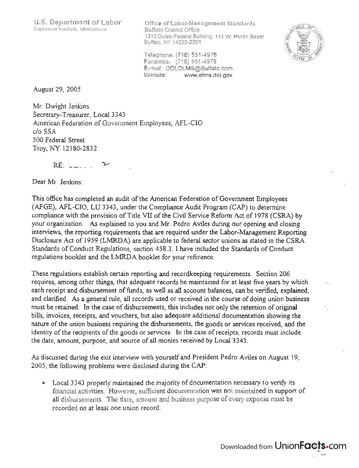Office of Labor-Management Standards Buffalo District Office 13 10 Dulski Federal Building, 11 1 W . Huron Street Buffalo, NY 14202-2301



Telephone: (716) 551-4976 Facsimile: (716) 551-4978 E-mail: DOLOLMS@Buffalo.com Website: www. olms.dol.gov

August 29,2005

Mr. Dwight Jenkins Secretary-Treasurer, Local 3343 American Federation of Government Employees, AFL-CIO c/o SSA 500 Federal Street Troy, NY 12180-2832

 $RE:$   $-$ 

Dear Mr. Jenkins:

This office has completed an audit of the American Federation of Government Employees (AFGE), AFL-CIO, LU 3343, under the Compliance Audit Program (CAP) to determine compliance with the provision of Title VII of the Civil Service Reform Act of 1978 (CSRA) by your organization. As explained to you and Mr. Pedro Aviles during our opening and closing interviews, the reporting requirements that are required under the Labor-Management Reporting Disclosure Act of 1959 (LMRDA) are applicable to federal sector unions as stated in the CSRA Standards of Conduct Regulations, section 458.3. I have included the Standards of Conduct regulations booklet and the LMRDA booklet for your reference.

These regulations establish certain reporting and recordkeeping requirements. Section 206 requires, among other things, that adequate records be maintained for at least five years by which each receipt and disbursement of funds, as well as all account balances, can be verified, expiained, and clarified. As a general rule, all records used or received in the course of doing union business must be retained. In the case of disbursements, this includes not only the retention of original bills, invoices, receipts, and vouchers, but also adequate additional documentation showing the nature of the union business requiring the disbursements, the goods or services received, and the identity of the recipients of the goods or services. In the case of receipts, records must include the date, amount, purpose, and source of all monies received by Local 3343.

As discussed during the exit interview with yourself and President Pedro Aviles on August 19, 2005, the following problems were disclosed during the CAP:

• Local 3343 properly maintained the majority of documentation necessary to verify its financial activities. However, sufficient documentation was not maintained in support of all disbursements. The date, amount and business purpose of every expense must be recorded on at least one union record.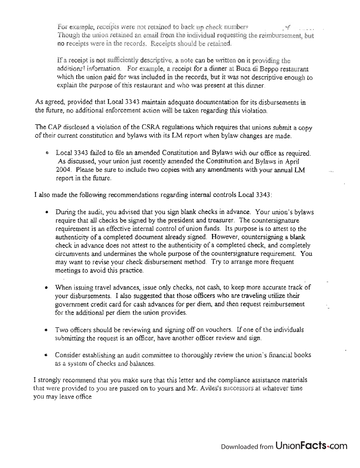For example, receipts were not retained to back up check numbers Though the union retained an email from the individual requesting the reimbursement, but no receipts were in the records. Receipts should be retained.

If a receipt is not sufficiently descriptive, a note can be written on it providing the additional information. For example, a receipt for a dinner at Buca di Beppo restaurant which the union paid for was included in the records, but it was not descriptive enough to explain the purpose of this restaurant and who was present at this dinner.

As agreed, provided that Local 3343 maintain adequate documentation for its disbursements in the future, no additional enforcement action will be taken regarding this violation.

The CAP disclosed a violation of the CSRA regulations which requires that unions submit a copy of their current constitution and bylaws with its LM report when bylaw changes are made.

• Local 3343 failed to file an amended Constitution and Bylaws with our office as required. As discussed, your union just recently amended the Constitution and Bylaws in April 2004. Please be sure to include two copies with any amendments with your annual LM report in the future.

I also made the following recommendations regarding internal controls Local 3343:

- During the audit, you advised that you sign blank checks in advance. Your union's bylaws require that all checks be signed by the president and treasurer. The countersignature requirement is an effective internal control of union funds. Its purpose is to attest to the authenticity of a completed document already signed. However, countersigning a blank check in advance does not attest to the authenticity of a completed check, and completely circumvents and undermines the whole purpose of the countersignature requirement. You . may want to revise your check disbursement method. Try to arrange more frequent meetings to avoid this practice.
- When issuing travel advances, issue only checks, not cash, to keep more accurate track of your disbursements. I also suggested that those officers who are traveling utilize their government credit card for cash advances for per diem, and then request reimbursement for the additional per diem the union provides.
- Two officers should be reviewing and signing off on vouchers. If one of the individuals submitting the request is an officer, have another officer review and sign.
- Consider establishing an audit committee to thoroughly review the union's financial books as a system of checks and balances.

I strongly recommend that you make sure that this letter and the compliance assistance materials that were provided to you are passed on to yours and Mr. Aviles's successors at whatever time you may leave office.